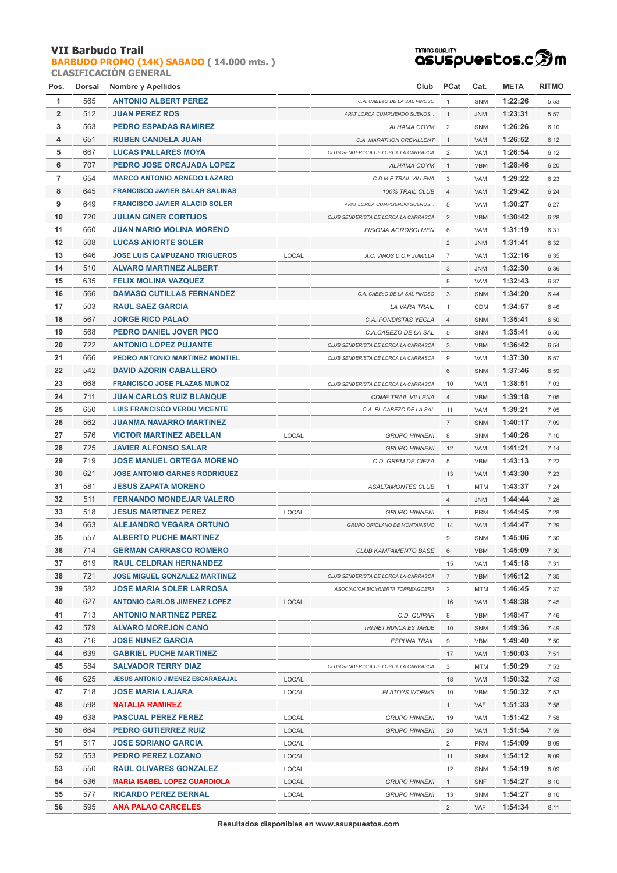**[BARBUDO PROMO \(14K\) SABADO](http://localhost/inscripcionWEBHost/prueba.php?cod=92) ( 14.000 mts. ) CLASIFICACIÓN GENERAL**

# <del>™™®®®L™</del><br>QSUSpUestos.cஇm

| Pos.           | Dorsal | Nombre y Apellidos                       |       | Club                                 | <b>PCat</b>    | Cat.       | <b>META</b> | <b>RITMO</b> |
|----------------|--------|------------------------------------------|-------|--------------------------------------|----------------|------------|-------------|--------------|
| $\mathbf{1}$   | 565    | <b>ANTONIO ALBERT PEREZ</b>              |       | C.A. CABEaO DE LA SAL PINOSO         | $\mathbf{1}$   | SNM        | 1:22:26     | 5:53         |
| $\overline{2}$ | 512    | <b>JUAN PEREZ ROS</b>                    |       | APAT LORCA CUMPLIENDO SUENOS         | $\mathbf{1}$   | <b>JNM</b> | 1:23:31     | 5:57         |
| 3              | 563    | <b>PEDRO ESPADAS RAMIREZ</b>             |       | ALHAMA COYM                          | 2              | <b>SNM</b> | 1:26:26     | 6:10         |
| 4              | 651    | <b>RUBEN CANDELA JUAN</b>                |       | C.A. MARATHON CREVILLENT             | $\mathbf{1}$   | VAM        | 1:26:52     | 6:12         |
| 5              | 667    | <b>LUCAS PALLARES MOYA</b>               |       | CLUB SENDERISTA DE LORCA LA CARRASCA | 2              | VAM        | 1:26:54     | 6:12         |
| 6              | 707    | PEDRO JOSE ORCAJADA LOPEZ                |       | ALHAMA COYM                          | $\mathbf{1}$   | <b>VBM</b> | 1:28:46     | 6:20         |
| $\overline{7}$ | 654    | <b>MARCO ANTONIO ARNEDO LAZARO</b>       |       | C.D.M.E TRAIL VILLENA                | 3              | <b>VAM</b> | 1:29:22     | 6:23         |
| 8              | 645    | <b>FRANCISCO JAVIER SALAR SALINAS</b>    |       | 100% TRAIL CLUB                      | $\overline{4}$ | <b>VAM</b> | 1:29:42     | 6:24         |
| 9              | 649    | <b>FRANCISCO JAVIER ALACID SOLER</b>     |       | APAT LORCA CUMPLIENDO SUENOS         | 5              | VAM        | 1:30:27     | 6:27         |
| 10             | 720    | <b>JULIAN GINER CORTIJOS</b>             |       | CLUB SENDERISTA DE LORCA LA CARRASCA | $\overline{2}$ | <b>VBM</b> | 1:30:42     | 6:28         |
| 11             | 660    | <b>JUAN MARIO MOLINA MORENO</b>          |       | <b>FISIOMA AGROSOLMEN</b>            | 6              | <b>VAM</b> | 1:31:19     | 6:31         |
| 12             | 508    | <b>LUCAS ANIORTE SOLER</b>               |       |                                      | 2              | <b>JNM</b> | 1:31:41     | 6:32         |
| 13             | 646    | <b>JOSE LUIS CAMPUZANO TRIGUEROS</b>     | LOCAL |                                      | $\overline{7}$ | VAM        | 1:32:16     |              |
|                |        |                                          |       | A.C. VINOS D.O.P JUMILLA             |                |            |             | 6:35         |
| 14             | 510    | <b>ALVARO MARTINEZ ALBERT</b>            |       |                                      | 3              | <b>JNM</b> | 1:32:30     | 6:36         |
| 15             | 635    | <b>FELIX MOLINA VAZQUEZ</b>              |       |                                      | 8              | <b>VAM</b> | 1:32:43     | 6:37         |
| 16             | 566    | <b>DAMASO CUTILLAS FERNANDEZ</b>         |       | C.A. CABEaO DE LA SAL PINOSO         | 3              | SNM        | 1:34:20     | 6:44         |
| 17             | 503    | <b>RAUL SAEZ GARCIA</b>                  |       | LA VARA TRAIL                        | 1              | <b>CDM</b> | 1:34:57     | 6:46         |
| 18             | 567    | <b>JORGE RICO PALAO</b>                  |       | C.A. FONDISTAS YECLA                 | $\overline{4}$ | SNM        | 1:35:41     | 6:50         |
| 19             | 568    | <b>PEDRO DANIEL JOVER PICO</b>           |       | C.A.CABEZO DE LA SAL                 | 5              | SNM        | 1:35:41     | 6:50         |
| 20             | 722    | <b>ANTONIO LOPEZ PUJANTE</b>             |       | CLUB SENDERISTA DE LORCA LA CARRASCA | 3              | <b>VBM</b> | 1:36:42     | 6:54         |
| 21             | 666    | PEDRO ANTONIO MARTINEZ MONTIEL           |       | CLUB SENDERISTA DE LORCA LA CARRASCA | 9              | VAM        | 1:37:30     | 6:57         |
| 22             | 542    | <b>DAVID AZORIN CABALLERO</b>            |       |                                      | 6              | SNM        | 1:37:46     | 6:59         |
| 23             | 668    | <b>FRANCISCO JOSE PLAZAS MUNOZ</b>       |       | CLUB SENDERISTA DE LORCA LA CARRASCA | 10             | <b>VAM</b> | 1:38:51     | 7:03         |
| 24             | 711    | <b>JUAN CARLOS RUIZ BLANQUE</b>          |       | <b>CDME TRAIL VILLENA</b>            | $\overline{4}$ | <b>VBM</b> | 1:39:18     | 7:05         |
| 25             | 650    | <b>LUIS FRANCISCO VERDU VICENTE</b>      |       | C.A. EL CABEZO DE LA SAL             | 11             | VAM        | 1:39:21     | 7:05         |
| 26             | 562    | <b>JUANMA NAVARRO MARTINEZ</b>           |       |                                      | $\overline{7}$ | SNM        | 1:40:17     | 7:09         |
| 27             | 576    | <b>VICTOR MARTINEZ ABELLAN</b>           | LOCAL | <b>GRUPO HINNENI</b>                 | 8              | <b>SNM</b> | 1:40:26     | 7:10         |
| 28             | 725    | <b>JAVIER ALFONSO SALAR</b>              |       | <b>GRUPO HINNENI</b>                 | 12             | VAM        | 1:41:21     | 7:14         |
| 29             | 719    | <b>JOSE MANUEL ORTEGA MORENO</b>         |       | C.D. GREM DE CIEZA                   | 5              | <b>VBM</b> | 1:43:13     | 7:22         |
| 30             | 621    | <b>JOSE ANTONIO GARNES RODRIGUEZ</b>     |       |                                      | 13             | VAM        | 1:43:30     | 7:23         |
| 31             | 581    | <b>JESUS ZAPATA MORENO</b>               |       | <b>ASALTAMONTES CLUB</b>             | $\mathbf{1}$   | <b>MTM</b> | 1:43:37     | 7:24         |
| 32             | 511    | <b>FERNANDO MONDEJAR VALERO</b>          |       |                                      | $\overline{4}$ | <b>JNM</b> | 1:44:44     | 7:28         |
| 33             | 518    | <b>JESUS MARTINEZ PEREZ</b>              | LOCAL | <b>GRUPO HINNENI</b>                 | $\mathbf{1}$   | <b>PRM</b> | 1:44:45     | 7:28         |
| 34             | 663    | <b>ALEJANDRO VEGARA ORTUNO</b>           |       | GRUPO ORIOLANO DE MONTANISMO         | 14             | VAM        | 1:44:47     | 7:29         |
| 35             | 557    | <b>ALBERTO PUCHE MARTINEZ</b>            |       |                                      | 9              | SNM        | 1:45:06     | 7:30         |
| 36             | 714    | <b>GERMAN CARRASCO ROMERO</b>            |       | <b>CLUB KAMPAMENTO BASE</b>          | 6              | VBM        | 1:45:09     | 7:30         |
| 37             | 619    | <b>RAUL CELDRAN HERNANDEZ</b>            |       |                                      | 15             | VAM        | 1:45:18     | 7:31         |
| 38             | 721    | <b>JOSE MIGUEL GONZALEZ MARTINEZ</b>     |       | CLUB SENDERISTA DE LORCA LA CARRASCA | $\overline{7}$ | <b>VBM</b> | 1:46:12     | 7:35         |
| 39             | 582    | <b>JOSE MARIA SOLER LARROSA</b>          |       | ASOCIACION BICIHUERTA TORREAGOERA    | 2              | <b>MTM</b> | 1:46:45     | 7:37         |
| 40             | 627    | <b>ANTONIO CARLOS JIMENEZ LOPEZ</b>      | LOCAL |                                      | 16             | VAM        | 1:48:38     | 7:45         |
| 41             | 713    | <b>ANTONIO MARTINEZ PEREZ</b>            |       | C.D. QUIPAR                          | 8              | <b>VBM</b> | 1:48:47     | 7:46         |
| 42             | 579    | <b>ALVARO MOREJON CANO</b>               |       | TRI.NET NUNCA ES TARDE               | 10             | SNM        | 1:49:36     | 7:49         |
| 43             | 716    | <b>JOSE NUNEZ GARCIA</b>                 |       | <b>ESPUNA TRAIL</b>                  | 9              | <b>VBM</b> | 1:49:40     | 7:50         |
| 44             | 639    | <b>GABRIEL PUCHE MARTINEZ</b>            |       |                                      | 17             | VAM        | 1:50:03     | 7:51         |
| 45             | 584    | <b>SALVADOR TERRY DIAZ</b>               |       | CLUB SENDERISTA DE LORCA LA CARRASCA | 3              |            |             |              |
|                |        |                                          |       |                                      |                | <b>MTM</b> | 1:50:29     | 7:53         |
| 46             | 625    | <b>JESUS ANTONIO JIMENEZ ESCARABAJAL</b> | LOCAL |                                      | 18             | VAM        | 1:50:32     | 7:53         |
| 47             | 718    | <b>JOSE MARIA LAJARA</b>                 | LOCAL | <b>FLATO?S WORMS</b>                 | 10             | VBM        | 1:50:32     | 7:53         |
| 48             | 598    | <b>NATALIA RAMIREZ</b>                   |       |                                      | $\mathbf{1}$   | VAF        | 1:51:33     | 7:58         |
| 49             | 638    | <b>PASCUAL PEREZ FEREZ</b>               | LOCAL | <b>GRUPO HINNENI</b>                 | 19             | VAM        | 1:51:42     | 7:58         |
| 50             | 664    | <b>PEDRO GUTIERREZ RUIZ</b>              | LOCAL | <b>GRUPO HINNENI</b>                 | 20             | VAM        | 1:51:54     | 7:59         |
| 51             | 517    | <b>JOSE SORIANO GARCIA</b>               | LOCAL |                                      | 2              | <b>PRM</b> | 1:54:09     | 8:09         |
| 52             | 553    | <b>PEDRO PEREZ LOZANO</b>                | LOCAL |                                      | 11             | SNM        | 1:54:12     | 8:09         |
| 53             | 550    | <b>RAUL OLIVARES GONZALEZ</b>            | LOCAL |                                      | 12             | SNM        | 1:54:19     | 8:09         |
| 54             | 536    | <b>MARIA ISABEL LOPEZ GUARDIOLA</b>      | LOCAL | <b>GRUPO HINNENI</b>                 | $\mathbf{1}$   | <b>SNF</b> | 1:54:27     | 8:10         |
| 55             | 577    | <b>RICARDO PEREZ BERNAL</b>              | LOCAL | <b>GRUPO HINNENI</b>                 | 13             | SNM        | 1:54:27     | 8:10         |
| 56             | 595    | <b>ANA PALAO CARCELES</b>                |       |                                      | $\overline{2}$ | VAF        | 1:54:34     | 8:11         |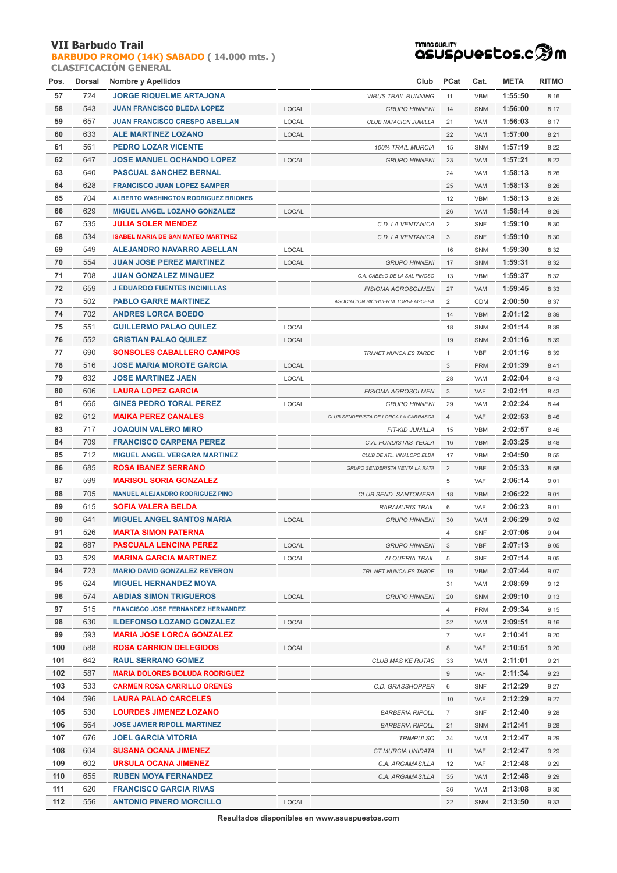**[BARBUDO PROMO \(14K\) SABADO](http://localhost/inscripcionWEBHost/prueba.php?cod=92) ( 14.000 mts. ) CLASIFICACIÓN GENERAL**



| Pos. | Dorsal | Nombre y Apellidos                          |       | Club                                    | <b>PCat</b>    | Cat.              | <b>META</b> | <b>RITMO</b> |
|------|--------|---------------------------------------------|-------|-----------------------------------------|----------------|-------------------|-------------|--------------|
| 57   | 724    | <b>JORGE RIQUELME ARTAJONA</b>              |       | <b>VIRUS TRAIL RUNNING</b>              | 11             | <b>VBM</b>        | 1:55:50     | 8:16         |
| 58   | 543    | <b>JUAN FRANCISCO BLEDA LOPEZ</b>           | LOCAL | <b>GRUPO HINNENI</b>                    | 14             | SNM               | 1:56:00     | 8:17         |
| 59   | 657    | <b>JUAN FRANCISCO CRESPO ABELLAN</b>        | LOCAL | CLUB NATACION JUMILLA                   | 21             | VAM               | 1:56:03     | 8:17         |
| 60   | 633    | <b>ALE MARTINEZ LOZANO</b>                  | LOCAL |                                         | 22             | <b>VAM</b>        | 1:57:00     | 8:21         |
| 61   | 561    | <b>PEDRO LOZAR VICENTE</b>                  |       | 100% TRAIL MURCIA                       | 15             | <b>SNM</b>        | 1:57:19     | 8:22         |
| 62   | 647    | <b>JOSE MANUEL OCHANDO LOPEZ</b>            | LOCAL | <b>GRUPO HINNENI</b>                    | 23             | VAM               | 1:57:21     | 8:22         |
| 63   | 640    | <b>PASCUAL SANCHEZ BERNAL</b>               |       |                                         | 24             | <b>VAM</b>        | 1:58:13     | 8:26         |
| 64   | 628    | <b>FRANCISCO JUAN LOPEZ SAMPER</b>          |       |                                         | 25             | VAM               | 1:58:13     | 8:26         |
| 65   | 704    | <b>ALBERTO WASHINGTON RODRIGUEZ BRIONES</b> |       |                                         | 12             | <b>VBM</b>        | 1:58:13     | 8:26         |
| 66   | 629    | MIGUEL ANGEL LOZANO GONZALEZ                | LOCAL |                                         | 26             | VAM               | 1:58:14     | 8:26         |
| 67   | 535    | <b>JULIA SOLER MENDEZ</b>                   |       | C.D. LA VENTANICA                       | 2              | <b>SNF</b>        | 1:59:10     | 8:30         |
| 68   | 534    | <b>ISABEL MARIA DE SAN MATEO MARTINEZ</b>   |       | C.D. LA VENTANICA                       | 3              | <b>SNF</b>        | 1:59:10     | 8:30         |
| 69   | 549    | ALEJANDRO NAVARRO ABELLAN                   | LOCAL |                                         | 16             | <b>SNM</b>        | 1:59:30     | 8:32         |
| 70   | 554    | <b>JUAN JOSE PEREZ MARTINEZ</b>             | LOCAL | <b>GRUPO HINNENI</b>                    | 17             | <b>SNM</b>        | 1:59:31     | 8:32         |
| 71   | 708    | <b>JUAN GONZALEZ MINGUEZ</b>                |       | C.A. CABEaO DE LA SAL PINOSO            | 13             | <b>VBM</b>        | 1:59:37     | 8:32         |
| 72   | 659    | <b>J EDUARDO FUENTES INCINILLAS</b>         |       | <b>FISIOMA AGROSOLMEN</b>               | 27             | VAM               | 1:59:45     | 8:33         |
| 73   | 502    | <b>PABLO GARRE MARTINEZ</b>                 |       | ASOCIACION BICIHUERTA TORREAGOERA       | 2              | CDM               | 2:00:50     | 8:37         |
| 74   | 702    | <b>ANDRES LORCA BOEDO</b>                   |       |                                         | 14             | <b>VBM</b>        | 2:01:12     | 8:39         |
| 75   | 551    | <b>GUILLERMO PALAO QUILEZ</b>               | LOCAL |                                         | 18             | SNM               | 2:01:14     | 8:39         |
| 76   | 552    | <b>CRISTIAN PALAO QUILEZ</b>                | LOCAL |                                         | 19             | SNM               | 2:01:16     | 8:39         |
| 77   | 690    | <b>SONSOLES CABALLERO CAMPOS</b>            |       | TRI.NET NUNCA ES TARDE                  | $\mathbf{1}$   | VBF               | 2:01:16     | 8:39         |
| 78   | 516    | <b>JOSE MARIA MOROTE GARCIA</b>             | LOCAL |                                         | 3              | <b>PRM</b>        | 2:01:39     | 8:41         |
| 79   | 632    | <b>JOSE MARTINEZ JAEN</b>                   | LOCAL |                                         | 28             | <b>VAM</b>        | 2:02:04     | 8:43         |
| 80   | 606    | <b>LAURA LOPEZ GARCIA</b>                   |       | <b>FISIOMA AGROSOLMEN</b>               | 3              | VAF               | 2:02:11     | 8:43         |
| 81   | 665    | <b>GINES PEDRO TORAL PEREZ</b>              | LOCAL | <b>GRUPO HINNENI</b>                    | 29             | VAM               | 2:02:24     | 8:44         |
| 82   | 612    | <b>MAIKA PEREZ CANALES</b>                  |       | CLUB SENDERISTA DE LORCA LA CARRASCA    | $\overline{4}$ | VAF               | 2:02:53     | 8:46         |
| 83   | 717    | <b>JOAQUIN VALERO MIRO</b>                  |       |                                         | 15             | <b>VBM</b>        | 2:02:57     |              |
| 84   | 709    | <b>FRANCISCO CARPENA PEREZ</b>              |       | FIT-KID JUMILLA<br>C.A. FONDISTAS YECLA | 16             | <b>VBM</b>        | 2:03:25     | 8:46<br>8:48 |
| 85   | 712    | <b>MIGUEL ANGEL VERGARA MARTINEZ</b>        |       |                                         | 17             | <b>VBM</b>        | 2:04:50     |              |
| 86   | 685    | <b>ROSA IBANEZ SERRANO</b>                  |       | CLUB DE ATL. VINALOPO ELDA              | 2              | <b>VBF</b>        | 2:05:33     | 8:55<br>8:58 |
| 87   | 599    | <b>MARISOL SORIA GONZALEZ</b>               |       | GRUPO SENDERISTA VENTA LA RATA          | 5              | <b>VAF</b>        | 2:06:14     | 9:01         |
| 88   | 705    | <b>MANUEL ALEJANDRO RODRIGUEZ PINO</b>      |       | CLUB SEND. SANTOMERA                    |                |                   | 2:06:22     |              |
| 89   | 615    | <b>SOFIA VALERA BELDA</b>                   |       |                                         | 18<br>6        | <b>VBM</b><br>VAF | 2:06:23     | 9:01<br>9:01 |
| 90   | 641    | <b>MIGUEL ANGEL SANTOS MARIA</b>            | LOCAL | <b>RARAMURIS TRAIL</b>                  | 30             |                   | 2:06:29     |              |
| 91   | 526    | <b>MARTA SIMON PATERNA</b>                  |       | <b>GRUPO HINNENI</b>                    | $\overline{4}$ | VAM<br><b>SNF</b> | 2:07:06     | 9:02<br>9:04 |
| 92   | 687    | <b>PASCUALA LENCINA PEREZ</b>               |       |                                         |                |                   |             |              |
| 93   | 529    | <b>MARINA GARCIA MARTINEZ</b>               | LOCAL | <b>GRUPO HINNENI</b>                    | 3              | <b>VBF</b>        | 2:07:13     | 9:05         |
| 94   | 723    |                                             | LOCAL | <b>ALQUERIA TRAIL</b>                   | 5              | <b>SNF</b>        | 2:07:14     | 9:05         |
| 95   | 624    | <b>MARIO DAVID GONZALEZ REVERON</b>         |       | TRI. NET NUNCA ES TARDE                 | 19             | <b>VBM</b>        | 2:07:44     | 9:07         |
|      |        | <b>MIGUEL HERNANDEZ MOYA</b>                |       |                                         | 31             | VAM               | 2:08:59     | 9:12         |
| 96   | 574    | <b>ABDIAS SIMON TRIGUEROS</b>               | LOCAL | <b>GRUPO HINNENI</b>                    | 20             | <b>SNM</b>        | 2:09:10     | 9:13         |
| 97   | 515    | <b>FRANCISCO JOSE FERNANDEZ HERNANDEZ</b>   |       |                                         | 4              | <b>PRM</b>        | 2:09:34     | 9:15         |
| 98   | 630    | <b>ILDEFONSO LOZANO GONZALEZ</b>            | LOCAL |                                         | 32             | VAM               | 2:09:51     | 9:16         |
| 99   | 593    | <b>MARIA JOSE LORCA GONZALEZ</b>            |       |                                         | $\overline{7}$ | VAF               | 2:10:41     | 9:20         |
| 100  | 588    | <b>ROSA CARRION DELEGIDOS</b>               | LOCAL |                                         | 8              | VAF               | 2:10:51     | 9:20         |
| 101  | 642    | <b>RAUL SERRANO GOMEZ</b>                   |       | <b>CLUB MAS KE RUTAS</b>                | 33             | VAM               | 2:11:01     | 9:21         |
| 102  | 587    | <b>MARIA DOLORES BOLUDA RODRIGUEZ</b>       |       |                                         | 9              | VAF               | 2:11:34     | 9:23         |
| 103  | 533    | <b>CARMEN ROSA CARRILLO ORENES</b>          |       | C.D. GRASSHOPPER                        | 6              | <b>SNF</b>        | 2:12:29     | 9:27         |
| 104  | 596    | <b>LAURA PALAO CARCELES</b>                 |       |                                         | 10             | VAF               | 2:12:29     | 9:27         |
| 105  | 530    | <b>LOURDES JIMENEZ LOZANO</b>               |       | <b>BARBERIA RIPOLL</b>                  | $\overline{7}$ | <b>SNF</b>        | 2:12:40     | 9:28         |
| 106  | 564    | <b>JOSE JAVIER RIPOLL MARTINEZ</b>          |       | <b>BARBERIA RIPOLL</b>                  | 21             | <b>SNM</b>        | 2:12:41     | 9:28         |
| 107  | 676    | <b>JOEL GARCIA VITORIA</b>                  |       | <b>TRIMPULSO</b>                        | 34             | VAM               | 2:12:47     | 9:29         |
| 108  | 604    | <b>SUSANA OCANA JIMENEZ</b>                 |       | CT MURCIA UNIDATA                       | 11             | VAF               | 2:12:47     | 9:29         |
| 109  | 602    | URSULA OCANA JIMENEZ                        |       | C.A. ARGAMASILLA                        | 12             | VAF               | 2:12:48     | 9:29         |
| 110  | 655    | <b>RUBEN MOYA FERNANDEZ</b>                 |       | C.A. ARGAMASILLA                        | 35             | VAM               | 2:12:48     | 9:29         |
| 111  | 620    | <b>FRANCISCO GARCIA RIVAS</b>               |       |                                         | 36             | VAM               | 2:13:08     | 9:30         |
| 112  | 556    | <b>ANTONIO PINERO MORCILLO</b>              | LOCAL |                                         | 22             | <b>SNM</b>        | 2:13:50     | 9:33         |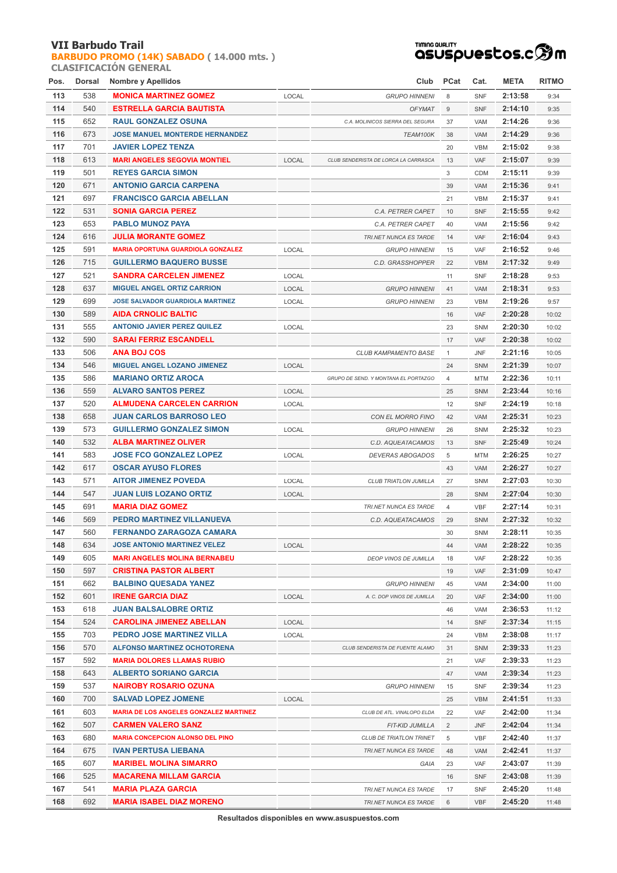**[BARBUDO PROMO \(14K\) SABADO](http://localhost/inscripcionWEBHost/prueba.php?cod=92) ( 14.000 mts. ) CLASIFICACIÓN GENERAL**



| Pos. | Dorsal | Nombre y Apellidos                       |       | Club                                             | <b>PCat</b>    | Cat.                     | <b>META</b> | <b>RITMO</b>   |
|------|--------|------------------------------------------|-------|--------------------------------------------------|----------------|--------------------------|-------------|----------------|
| 113  | 538    | <b>MONICA MARTINEZ GOMEZ</b>             | LOCAL | <b>GRUPO HINNENI</b>                             | 8              | <b>SNF</b>               | 2:13:58     | 9:34           |
| 114  | 540    | <b>ESTRELLA GARCIA BAUTISTA</b>          |       | <b>OFYMAT</b>                                    | 9              | <b>SNF</b>               | 2:14:10     | 9:35           |
| 115  | 652    | <b>RAUL GONZALEZ OSUNA</b>               |       | C.A. MOLINICOS SIERRA DEL SEGURA                 | 37             | VAM                      | 2:14:26     | 9:36           |
| 116  | 673    | <b>JOSE MANUEL MONTERDE HERNANDEZ</b>    |       | TEAM100K                                         | 38             | VAM                      | 2:14:29     | 9:36           |
| 117  | 701    | <b>JAVIER LOPEZ TENZA</b>                |       |                                                  | 20             | <b>VBM</b>               | 2:15:02     | 9:38           |
| 118  | 613    | <b>MARI ANGELES SEGOVIA MONTIEL</b>      | LOCAL | CLUB SENDERISTA DE LORCA LA CARRASCA             | 13             | <b>VAF</b>               | 2:15:07     | 9:39           |
| 119  | 501    | <b>REYES GARCIA SIMON</b>                |       |                                                  | 3              | <b>CDM</b>               | 2:15:11     | 9:39           |
| 120  | 671    | <b>ANTONIO GARCIA CARPENA</b>            |       |                                                  | 39             | VAM                      | 2:15:36     | 9:41           |
| 121  | 697    | <b>FRANCISCO GARCIA ABELLAN</b>          |       |                                                  | 21             | <b>VBM</b>               | 2:15:37     | 9:41           |
| 122  | 531    | <b>SONIA GARCIA PEREZ</b>                |       | C.A. PETRER CAPET                                | 10             | <b>SNF</b>               | 2:15:55     | 9:42           |
| 123  | 653    | <b>PABLO MUNOZ PAYA</b>                  |       | C.A. PETRER CAPET                                | 40             | VAM                      | 2:15:56     | 9:42           |
| 124  | 616    | <b>JULIA MORANTE GOMEZ</b>               |       | TRI.NET NUNCA ES TARDE                           | 14             | VAF                      | 2:16:04     | 9:43           |
| 125  | 591    | <b>MARIA OPORTUNA GUARDIOLA GONZALEZ</b> | LOCAL | <b>GRUPO HINNENI</b>                             | 15             | VAF                      | 2:16:52     | 9:46           |
| 126  | 715    | <b>GUILLERMO BAQUERO BUSSE</b>           |       | C.D. GRASSHOPPER                                 | 22             | <b>VBM</b>               | 2:17:32     | 9:49           |
| 127  | 521    | <b>SANDRA CARCELEN JIMENEZ</b>           | LOCAL |                                                  | 11             | <b>SNF</b>               | 2:18:28     | 9:53           |
| 128  | 637    | <b>MIGUEL ANGEL ORTIZ CARRION</b>        | LOCAL | <b>GRUPO HINNENI</b>                             | 41             | VAM                      | 2:18:31     | 9:53           |
| 129  | 699    | <b>JOSE SALVADOR GUARDIOLA MARTINEZ</b>  | LOCAL | <b>GRUPO HINNENI</b>                             | 23             | <b>VBM</b>               | 2:19:26     | 9:57           |
| 130  | 589    | <b>AIDA CRNOLIC BALTIC</b>               |       |                                                  | 16             | VAF                      | 2:20:28     | 10:02          |
| 131  | 555    | <b>ANTONIO JAVIER PEREZ QUILEZ</b>       | LOCAL |                                                  | 23             | <b>SNM</b>               | 2:20:30     | 10:02          |
| 132  | 590    | <b>SARAI FERRIZ ESCANDELL</b>            |       |                                                  | 17             | VAF                      | 2:20:38     | 10:02          |
| 133  | 506    | <b>ANA BOJ COS</b>                       |       | CLUB KAMPAMENTO BASE                             | $\mathbf{1}$   | <b>JNF</b>               | 2:21:16     | 10:05          |
| 134  | 546    | <b>MIGUEL ANGEL LOZANO JIMENEZ</b>       | LOCAL |                                                  | 24             | SNM                      | 2:21:39     | 10:07          |
| 135  | 586    | <b>MARIANO ORTIZ AROCA</b>               |       | GRUPO DE SEND. Y MONTANA EL PORTAZGO             | $\overline{4}$ | MTM                      | 2:22:36     | 10:11          |
| 136  | 559    | <b>ALVARO SANTOS PEREZ</b>               | LOCAL |                                                  | 25             | SNM                      | 2:23:44     | 10:16          |
| 137  | 520    | <b>ALMUDENA CARCELEN CARRION</b>         | LOCAL |                                                  | 12             | <b>SNF</b>               | 2:24:19     | 10:18          |
| 138  | 658    | <b>JUAN CARLOS BARROSO LEO</b>           |       |                                                  | 42             | VAM                      | 2:25:31     | 10:23          |
| 139  | 573    | <b>GUILLERMO GONZALEZ SIMON</b>          |       | CON EL MORRO FINO<br><b>GRUPO HINNENI</b>        | 26             | SNM                      | 2:25:32     | 10:23          |
| 140  | 532    | <b>ALBA MARTINEZ OLIVER</b>              | LOCAL |                                                  |                |                          | 2:25:49     |                |
| 141  | 583    | <b>JOSE FCO GONZALEZ LOPEZ</b>           |       | C.D. AQUEATACAMOS                                | 13             | <b>SNF</b><br><b>MTM</b> | 2:26:25     | 10:24          |
| 142  | 617    | <b>OSCAR AYUSO FLORES</b>                | LOCAL | <b>DEVERAS ABOGADOS</b>                          | 5<br>43        | VAM                      | 2:26:27     | 10:27<br>10:27 |
| 143  | 571    | <b>AITOR JIMENEZ POVEDA</b>              | LOCAL |                                                  | 27             | SNM                      | 2:27:03     | 10:30          |
| 144  | 547    | <b>JUAN LUIS LOZANO ORTIZ</b>            | LOCAL | CLUB TRIATLON JUMILLA                            | 28             | SNM                      | 2:27:04     | 10:30          |
| 145  | 691    | <b>MARIA DIAZ GOMEZ</b>                  |       | TRI.NET NUNCA ES TARDE                           | $\overline{4}$ | <b>VBF</b>               | 2:27:14     | 10:31          |
| 146  | 569    | PEDRO MARTINEZ VILLANUEVA                |       | C.D. AQUEATACAMOS                                | 29             | SNM                      | 2:27:32     | 10:32          |
| 147  | 560    | FERNANDO ZARAGOZA CAMARA                 |       |                                                  | 30             | SNM                      | 2:28:11     | 10:35          |
| 148  | 634    | <b>JOSE ANTONIO MARTINEZ VELEZ</b>       | LOCAL |                                                  | 44             | <b>VAM</b>               | 2:28:22     | 10:35          |
| 149  | 605    | <b>MARI ANGELES MOLINA BERNABEU</b>      |       | <b>DEOP VINOS DE JUMILLA</b>                     | 18             | VAF                      | 2:28:22     | 10:35          |
| 150  | 597    | <b>CRISTINA PASTOR ALBERT</b>            |       |                                                  | 19             | VAF                      | 2:31:09     | 10:47          |
| 151  | 662    | <b>BALBINO QUESADA YANEZ</b>             |       | <b>GRUPO HINNENI</b>                             | 45             | VAM                      | 2:34:00     | 11:00          |
| 152  | 601    | <b>IRENE GARCIA DIAZ</b>                 | LOCAL | A. C. DOP VINOS DE JUMILLA                       | 20             | VAF                      | 2:34:00     | 11:00          |
| 153  | 618    | <b>JUAN BALSALOBRE ORTIZ</b>             |       |                                                  | 46             | VAM                      | 2:36:53     | 11:12          |
| 154  | 524    | <b>CAROLINA JIMENEZ ABELLAN</b>          | LOCAL |                                                  | 14             | <b>SNF</b>               | 2:37:34     | 11:15          |
| 155  | 703    | <b>PEDRO JOSE MARTINEZ VILLA</b>         | LOCAL |                                                  | 24             | <b>VBM</b>               | 2:38:08     | 11:17          |
| 156  | 570    | <b>ALFONSO MARTINEZ OCHOTORENA</b>       |       | CLUB SENDERISTA DE FUENTE ALAMO                  | 31             | <b>SNM</b>               | 2:39:33     | 11:23          |
| 157  | 592    | <b>MARIA DOLORES LLAMAS RUBIO</b>        |       |                                                  | 21             | VAF                      | 2:39:33     | 11:23          |
| 158  | 643    | <b>ALBERTO SORIANO GARCIA</b>            |       |                                                  | 47             | VAM                      | 2:39:34     | 11:23          |
| 159  | 537    | <b>NAIROBY ROSARIO OZUNA</b>             |       | <b>GRUPO HINNENI</b>                             | 15             | SNF                      | 2:39:34     | 11:23          |
| 160  | 700    | <b>SALVAD LOPEZ JOMENE</b>               | LOCAL |                                                  | 25             | <b>VBM</b>               | 2:41:51     | 11:33          |
| 161  | 603    | MARIA DE LOS ANGELES GONZALEZ MARTINEZ   |       | CLUB DE ATL. VINALOPO ELDA                       | 22             | VAF                      | 2:42:00     | 11:34          |
| 162  | 507    | <b>CARMEN VALERO SANZ</b>                |       | <b>FIT-KID JUMILLA</b>                           | $\overline{2}$ | <b>JNF</b>               | 2:42:04     | 11:34          |
| 163  | 680    | <b>MARIA CONCEPCION ALONSO DEL PINO</b>  |       | CLUB DE TRIATLON TRINET                          | 5              | <b>VBF</b>               | 2:42:40     |                |
| 164  | 675    | <b>IVAN PERTUSA LIEBANA</b>              |       | TRI.NET NUNCA ES TARDE                           | 48             | VAM                      | 2:42:41     | 11:37<br>11:37 |
| 165  | 607    | <b>MARIBEL MOLINA SIMARRO</b>            |       |                                                  |                | VAF                      | 2:43:07     |                |
| 166  | 525    | <b>MACARENA MILLAM GARCIA</b>            |       | GAIA                                             | 23<br>16       | <b>SNF</b>               | 2:43:08     | 11:39          |
| 167  | 541    | <b>MARIA PLAZA GARCIA</b>                |       |                                                  | 17             |                          | 2:45:20     | 11:39<br>11:48 |
| 168  | 692    | <b>MARIA ISABEL DIAZ MORENO</b>          |       | TRI.NET NUNCA ES TARDE<br>TRI.NET NUNCA ES TARDE | 6              | SNF<br><b>VBF</b>        | 2:45:20     | 11:48          |
|      |        |                                          |       |                                                  |                |                          |             |                |